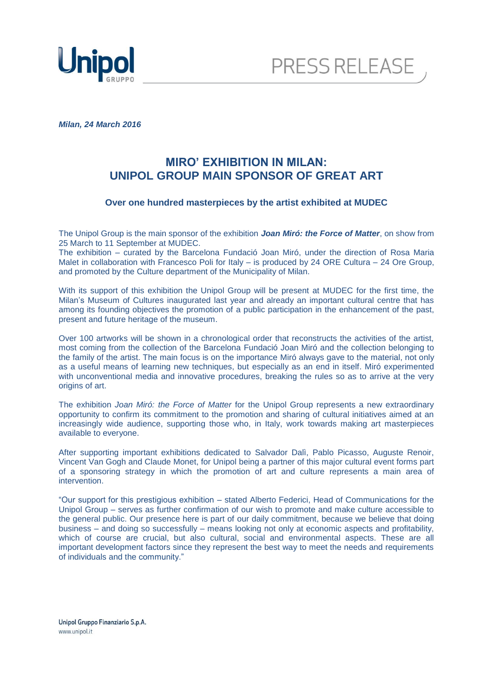



*Milan, 24 March 2016* 

# **MIRO' EXHIBITION IN MILAN: UNIPOL GROUP MAIN SPONSOR OF GREAT ART**

### **Over one hundred masterpieces by the artist exhibited at MUDEC**

The Unipol Group is the main sponsor of the exhibition *Joan Miró: the Force of Matter*, on show from 25 March to 11 September at MUDEC.

The exhibition – curated by the Barcelona Fundació Joan Miró, under the direction of Rosa Maria Malet in collaboration with Francesco Poli for Italy – is produced by 24 ORE Cultura – 24 Ore Group, and promoted by the Culture department of the Municipality of Milan.

With its support of this exhibition the Unipol Group will be present at MUDEC for the first time, the Milan's Museum of Cultures inaugurated last year and already an important cultural centre that has among its founding objectives the promotion of a public participation in the enhancement of the past, present and future heritage of the museum.

Over 100 artworks will be shown in a chronological order that reconstructs the activities of the artist, most coming from the collection of the Barcelona Fundació Joan Miró and the collection belonging to the family of the artist. The main focus is on the importance Miró always gave to the material, not only as a useful means of learning new techniques, but especially as an end in itself. Miró experimented with unconventional media and innovative procedures, breaking the rules so as to arrive at the very origins of art.

The exhibition *Joan Miró: the Force of Matter* for the Unipol Group represents a new extraordinary opportunity to confirm its commitment to the promotion and sharing of cultural initiatives aimed at an increasingly wide audience, supporting those who, in Italy, work towards making art masterpieces available to everyone.

After supporting important exhibitions dedicated to Salvador Dalì, Pablo Picasso, Auguste Renoir, Vincent Van Gogh and Claude Monet, for Unipol being a partner of this major cultural event forms part of a sponsoring strategy in which the promotion of art and culture represents a main area of intervention.

"Our support for this prestigious exhibition – stated Alberto Federici, Head of Communications for the Unipol Group – serves as further confirmation of our wish to promote and make culture accessible to the general public. Our presence here is part of our daily commitment, because we believe that doing business – and doing so successfully – means looking not only at economic aspects and profitability, which of course are crucial, but also cultural, social and environmental aspects. These are all important development factors since they represent the best way to meet the needs and requirements of individuals and the community."